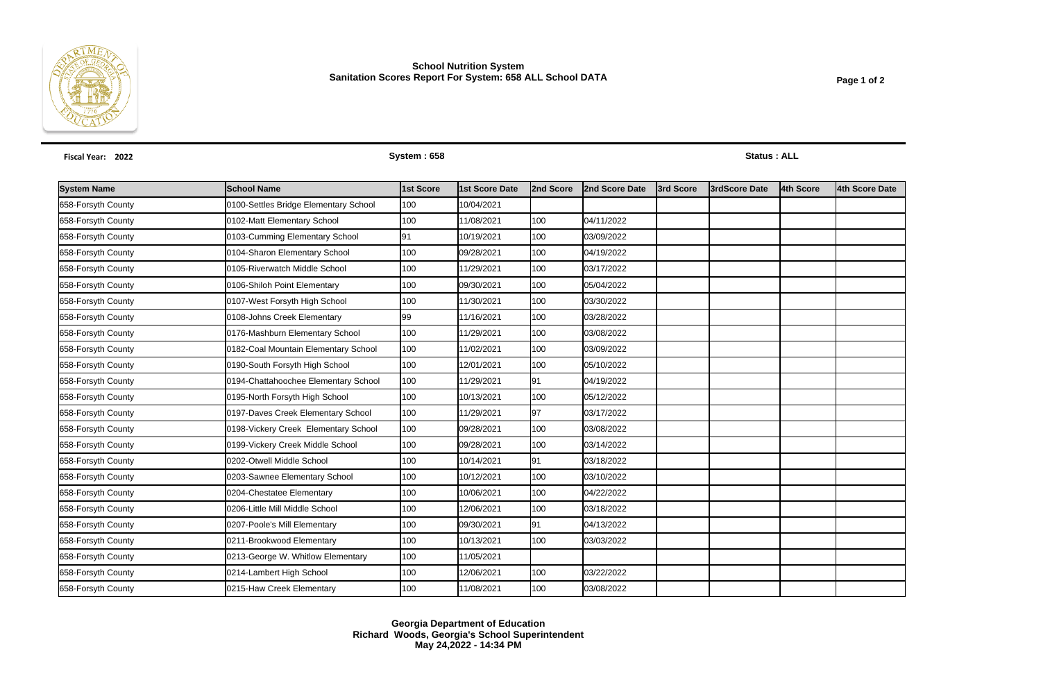

## **School Nutrition System Sanitation Scores Report For System: 658 ALL School DATA**

| Fiscal Year: 2022  |                                       | System: 658 |                |           |                |           | <b>Status: ALL</b>    |           |                |  |  |  |
|--------------------|---------------------------------------|-------------|----------------|-----------|----------------|-----------|-----------------------|-----------|----------------|--|--|--|
| <b>System Name</b> | <b>School Name</b>                    | 1st Score   | 1st Score Date | 2nd Score | 2nd Score Date | 3rd Score | <b>l3rdScore Date</b> | 4th Score | 4th Score Date |  |  |  |
| 658-Forsyth County | 0100-Settles Bridge Elementary School | 100         | 10/04/2021     |           |                |           |                       |           |                |  |  |  |
| 658-Forsyth County | 0102-Matt Elementary School           | 100         | 11/08/2021     | 100       | 04/11/2022     |           |                       |           |                |  |  |  |
| 658-Forsyth County | 0103-Cumming Elementary School        | 191         | 10/19/2021     | 100       | 03/09/2022     |           |                       |           |                |  |  |  |
| 658-Forsyth County | 0104-Sharon Elementary School         | 100         | 09/28/2021     | 100       | 04/19/2022     |           |                       |           |                |  |  |  |
| 658-Forsyth County | 0105-Riverwatch Middle School         | 100         | 11/29/2021     | 100       | 03/17/2022     |           |                       |           |                |  |  |  |
| 658-Forsyth County | 0106-Shiloh Point Elementary          | 100         | 09/30/2021     | 100       | 05/04/2022     |           |                       |           |                |  |  |  |
| 658-Forsyth County | 0107-West Forsyth High School         | 100         | 11/30/2021     | 100       | 03/30/2022     |           |                       |           |                |  |  |  |
| 658-Forsyth County | 0108-Johns Creek Elementary           | 99          | 11/16/2021     | 100       | 03/28/2022     |           |                       |           |                |  |  |  |
| 658-Forsyth County | 0176-Mashburn Elementary School       | 100         | 11/29/2021     | 100       | 03/08/2022     |           |                       |           |                |  |  |  |
| 658-Forsyth County | 0182-Coal Mountain Elementary School  | 100         | 11/02/2021     | 100       | 03/09/2022     |           |                       |           |                |  |  |  |
| 658-Forsyth County | 0190-South Forsyth High School        | 100         | 12/01/2021     | 100       | 05/10/2022     |           |                       |           |                |  |  |  |
| 658-Forsyth County | 0194-Chattahoochee Elementary School  | 100         | 11/29/2021     | 91        | 04/19/2022     |           |                       |           |                |  |  |  |
| 658-Forsyth County | 0195-North Forsyth High School        | 100         | 10/13/2021     | 100       | 05/12/2022     |           |                       |           |                |  |  |  |
| 658-Forsyth County | 0197-Daves Creek Elementary School    | 100         | 11/29/2021     | 97        | 03/17/2022     |           |                       |           |                |  |  |  |
| 658-Forsyth County | 0198-Vickery Creek Elementary School  | 100         | 09/28/2021     | 100       | 03/08/2022     |           |                       |           |                |  |  |  |
| 658-Forsyth County | 0199-Vickery Creek Middle School      | 100         | 09/28/2021     | 100       | 03/14/2022     |           |                       |           |                |  |  |  |
| 658-Forsyth County | 0202-Otwell Middle School             | 100         | 10/14/2021     | 91        | 03/18/2022     |           |                       |           |                |  |  |  |
| 658-Forsyth County | 0203-Sawnee Elementary School         | 100         | 10/12/2021     | 100       | 03/10/2022     |           |                       |           |                |  |  |  |
| 658-Forsyth County | 0204-Chestatee Elementary             | 100         | 10/06/2021     | 100       | 04/22/2022     |           |                       |           |                |  |  |  |
| 658-Forsyth County | 0206-Little Mill Middle School        | 100         | 12/06/2021     | 100       | 03/18/2022     |           |                       |           |                |  |  |  |
| 658-Forsyth County | 0207-Poole's Mill Elementary          | 100         | 09/30/2021     | 91        | 04/13/2022     |           |                       |           |                |  |  |  |
| 658-Forsyth County | 0211-Brookwood Elementary             | 100         | 10/13/2021     | 100       | 03/03/2022     |           |                       |           |                |  |  |  |
| 658-Forsyth County | 0213-George W. Whitlow Elementary     | 100         | 11/05/2021     |           |                |           |                       |           |                |  |  |  |
| 658-Forsyth County | 0214-Lambert High School              | 100         | 12/06/2021     | 100       | 03/22/2022     |           |                       |           |                |  |  |  |
| 658-Forsyth County | 0215-Haw Creek Elementary             | 100         | 11/08/2021     | 100       | 03/08/2022     |           |                       |           |                |  |  |  |

**Georgia Department of Education Richard Woods, Georgia's School Superintendent May 24,2022 - 14:34 PM**